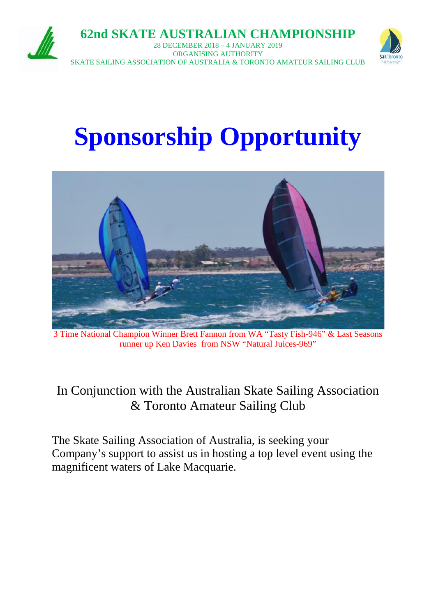

**62nd SKATE AUSTRALIAN CHAMPIONSHIP**

28 DECEMBER 2018 – 4 JANUARY 2019 ORGANISING AUTHORITY SKATE SAILING ASSOCIATION OF AUSTRALIA & TORONTO AMATEUR SAILING CLUB



# **Sponsorship Opportunity**



3 Time National Champion Winner Brett Fannon from WA "Tasty Fish-946" & Last Seasons runner up Ken Davies from NSW "Natural Juices-969"

# In Conjunction with the Australian Skate Sailing Association & Toronto Amateur Sailing Club

The Skate Sailing Association of Australia, is seeking your Company's support to assist us in hosting a top level event using the magnificent waters of Lake Macquarie.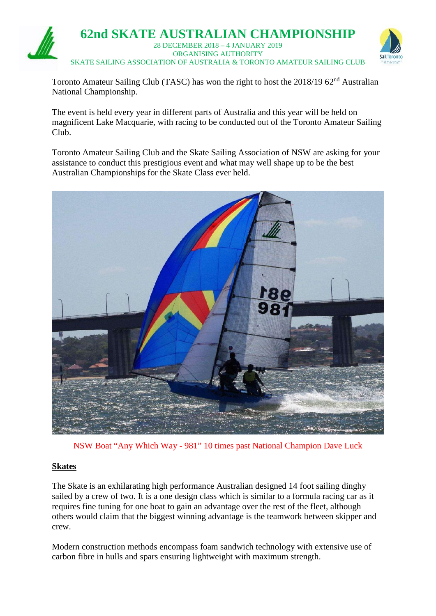

Toronto Amateur Sailing Club (TASC) has won the right to host the 2018/19 62<sup>nd</sup> Australian National Championship.

The event is held every year in different parts of Australia and this year will be held on magnificent Lake Macquarie, with racing to be conducted out of the Toronto Amateur Sailing Club.

Toronto Amateur Sailing Club and the Skate Sailing Association of NSW are asking for your assistance to conduct this prestigious event and what may well shape up to be the best Australian Championships for the Skate Class ever held.



NSW Boat "Any Which Way - 981" 10 times past National Champion Dave Luck

#### **Skates**

The Skate is an exhilarating high performance Australian designed 14 foot sailing dinghy sailed by a crew of two. It is a one design class which is similar to a formula racing car as it requires fine tuning for one boat to gain an advantage over the rest of the fleet, although others would claim that the biggest winning advantage is the teamwork between skipper and crew.

Modern construction methods encompass foam sandwich technology with extensive use of carbon fibre in hulls and spars ensuring lightweight with maximum strength.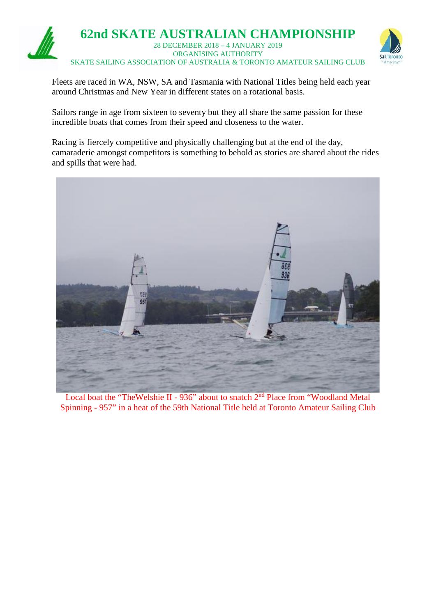

Fleets are raced in WA, NSW, SA and Tasmania with National Titles being held each year around Christmas and New Year in different states on a rotational basis.

Sailors range in age from sixteen to seventy but they all share the same passion for these incredible boats that comes from their speed and closeness to the water.

Racing is fiercely competitive and physically challenging but at the end of the day, camaraderie amongst competitors is something to behold as stories are shared about the rides and spills that were had.



Local boat the "TheWelshie II - 936" about to snatch 2<sup>nd</sup> Place from "Woodland Metal Spinning - 957" in a heat of the 59th National Title held at Toronto Amateur Sailing Club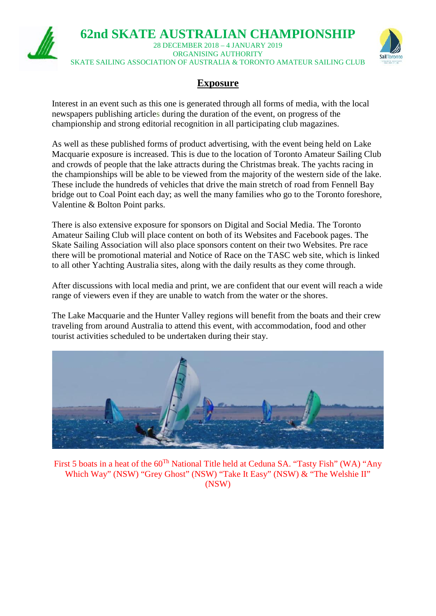

# **Exposure**

Interest in an event such as this one is generated through all forms of media, with the local newspapers publishing articles during the duration of the event, on progress of the championship and strong editorial recognition in all participating club magazines.

As well as these published forms of product advertising, with the event being held on Lake Macquarie exposure is increased. This is due to the location of Toronto Amateur Sailing Club and crowds of people that the lake attracts during the Christmas break. The yachts racing in the championships will be able to be viewed from the majority of the western side of the lake. These include the hundreds of vehicles that drive the main stretch of road from Fennell Bay bridge out to Coal Point each day; as well the many families who go to the Toronto foreshore, Valentine & Bolton Point parks.

There is also extensive exposure for sponsors on Digital and Social Media. The Toronto Amateur Sailing Club will place content on both of its Websites and Facebook pages. The Skate Sailing Association will also place sponsors content on their two Websites. Pre race there will be promotional material and Notice of Race on the TASC web site, which is linked to all other Yachting Australia sites, along with the daily results as they come through.

After discussions with local media and print, we are confident that our event will reach a wide range of viewers even if they are unable to watch from the water or the shores.

The Lake Macquarie and the Hunter Valley regions will benefit from the boats and their crew traveling from around Australia to attend this event, with accommodation, food and other tourist activities scheduled to be undertaken during their stay.



First 5 boats in a heat of the 60<sup>Th</sup> National Title held at Ceduna SA. "Tasty Fish" (WA) "Any Which Way" (NSW) "Grey Ghost" (NSW) "Take It Easy" (NSW) & "The Welshie II" (NSW)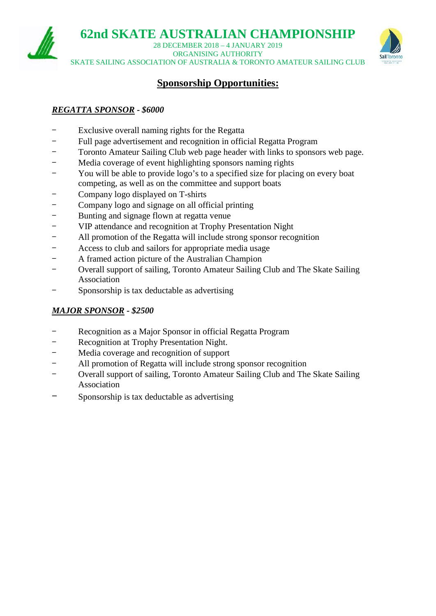**62nd SKATE AUSTRALIAN CHAMPIONSHIP**

28 DECEMBER 2018 – 4 JANUARY 2019 ORGANISING AUTHORITY SKATE SAILING ASSOCIATION OF AUSTRALIA & TORONTO AMATEUR SAILING CLUB



# **Sponsorship Opportunities:**

# *REGATTA SPONSOR - \$6000*

- Exclusive overall naming rights for the Regatta
- Full page advertisement and recognition in official Regatta Program
- Toronto Amateur Sailing Club web page header with links to sponsors web page.
- Media coverage of event highlighting sponsors naming rights
- You will be able to provide logo's to a specified size for placing on every boat competing, as well as on the committee and support boats
- Company logo displayed on T-shirts
- Company logo and signage on all official printing
- Bunting and signage flown at regatta venue
- VIP attendance and recognition at Trophy Presentation Night
- All promotion of the Regatta will include strong sponsor recognition
- Access to club and sailors for appropriate media usage
- A framed action picture of the Australian Champion
- Overall support of sailing, Toronto Amateur Sailing Club and The Skate Sailing Association
- Sponsorship is tax deductable as advertising

# *MAJOR SPONSOR - \$2500*

- Recognition as a Major Sponsor in official Regatta Program
- Recognition at Trophy Presentation Night.
- Media coverage and recognition of support
- All promotion of Regatta will include strong sponsor recognition
- Overall support of sailing, Toronto Amateur Sailing Club and The Skate Sailing Association
- Sponsorship is tax deductable as advertising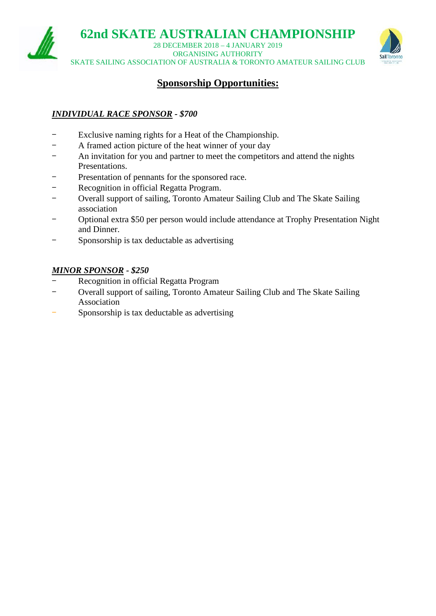

28 DECEMBER 2018 – 4 JANUARY 2019 ORGANISING AUTHORITY SKATE SAILING ASSOCIATION OF AUSTRALIA & TORONTO AMATEUR SAILING CLUB



# **Sponsorship Opportunities:**

# *INDIVIDUAL RACE SPONSOR - \$700*

- Exclusive naming rights for a Heat of the Championship.
- A framed action picture of the heat winner of your day
- An invitation for you and partner to meet the competitors and attend the nights Presentations.
- Presentation of pennants for the sponsored race.
- Recognition in official Regatta Program.
- Overall support of sailing, Toronto Amateur Sailing Club and The Skate Sailing association
- Optional extra \$50 per person would include attendance at Trophy Presentation Night and Dinner.
- Sponsorship is tax deductable as advertising

#### *MINOR SPONSOR - \$250*

- Recognition in official Regatta Program
- Overall support of sailing, Toronto Amateur Sailing Club and The Skate Sailing Association
- Sponsorship is tax deductable as advertising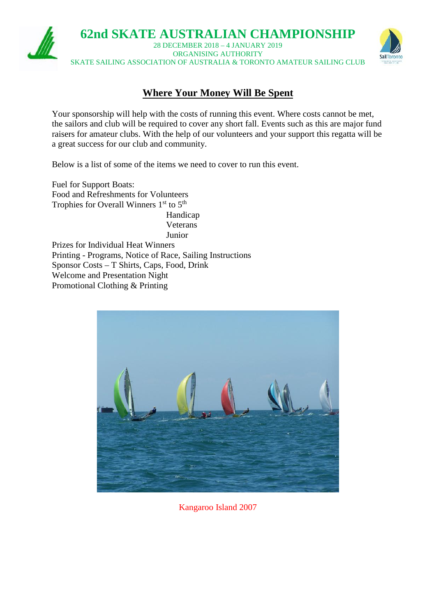

# **Where Your Money Will Be Spent**

Your sponsorship will help with the costs of running this event. Where costs cannot be met, the sailors and club will be required to cover any short fall. Events such as this are major fund raisers for amateur clubs. With the help of our volunteers and your support this regatta will be a great success for our club and community.

Below is a list of some of the items we need to cover to run this event.

Fuel for Support Boats: Food and Refreshments for Volunteers Trophies for Overall Winners  $1<sup>st</sup>$  to  $5<sup>th</sup>$ Handicap

Veterans Junior

Prizes for Individual Heat Winners Printing - Programs, Notice of Race, Sailing Instructions Sponsor Costs – T Shirts, Caps, Food, Drink Welcome and Presentation Night Promotional Clothing & Printing



Kangaroo Island 2007